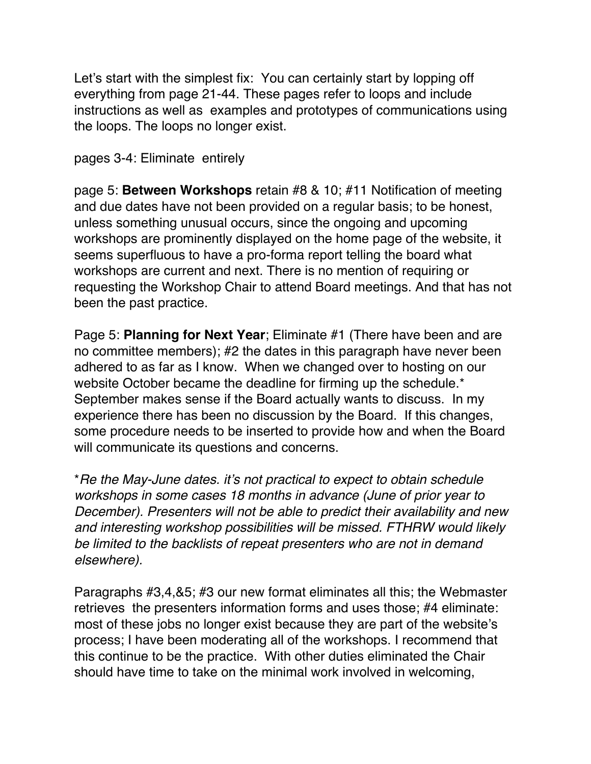Let's start with the simplest fix: You can certainly start by lopping off everything from page 21-44. These pages refer to loops and include instructions as well as examples and prototypes of communications using the loops. The loops no longer exist.

## pages 3-4: Eliminate entirely

page 5: **Between Workshops** retain #8 & 10; #11 Notification of meeting and due dates have not been provided on a regular basis; to be honest, unless something unusual occurs, since the ongoing and upcoming workshops are prominently displayed on the home page of the website, it seems superfluous to have a pro-forma report telling the board what workshops are current and next. There is no mention of requiring or requesting the Workshop Chair to attend Board meetings. And that has not been the past practice.

Page 5: **Planning for Next Year**; Eliminate #1 (There have been and are no committee members); #2 the dates in this paragraph have never been adhered to as far as I know. When we changed over to hosting on our website October became the deadline for firming up the schedule.\* September makes sense if the Board actually wants to discuss. In my experience there has been no discussion by the Board. If this changes, some procedure needs to be inserted to provide how and when the Board will communicate its questions and concerns.

\**Re the May-June dates. it's not practical to expect to obtain schedule workshops in some cases 18 months in advance (June of prior year to December). Presenters will not be able to predict their availability and new and interesting workshop possibilities will be missed. FTHRW would likely be limited to the backlists of repeat presenters who are not in demand elsewhere).* 

Paragraphs #3,4,&5; #3 our new format eliminates all this; the Webmaster retrieves the presenters information forms and uses those; #4 eliminate: most of these jobs no longer exist because they are part of the website's process; I have been moderating all of the workshops. I recommend that this continue to be the practice. With other duties eliminated the Chair should have time to take on the minimal work involved in welcoming,